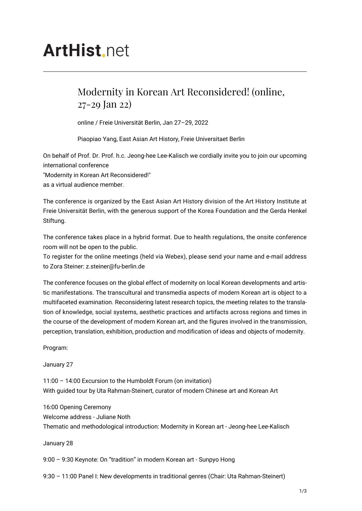## **ArtHist** net

## Modernity in Korean Art Reconsidered! (online, 27-29 Jan 22)

online / Freie Universität Berlin, Jan 27–29, 2022

Piaopiao Yang, East Asian Art History, Freie Universitaet Berlin

On behalf of Prof. Dr. Prof. h.c. Jeong-hee Lee-Kalisch we cordially invite you to join our upcoming international conference

"Modernity in Korean Art Reconsidered!"

as a virtual audience member.

The conference is organized by the East Asian Art History division of the Art History Institute at Freie Universität Berlin, with the generous support of the Korea Foundation and the Gerda Henkel Stiftung.

The conference takes place in a hybrid format. Due to health regulations, the onsite conference room will not be open to the public.

To register for the online meetings (held via Webex), please send your name and e-mail address to Zora Steiner: z.steiner@fu-berlin.de

The conference focuses on the global effect of modernity on local Korean developments and artistic manifestations. The transcultural and transmedia aspects of modern Korean art is object to a multifaceted examination. Reconsidering latest research topics, the meeting relates to the translation of knowledge, social systems, aesthetic practices and artifacts across regions and times in the course of the development of modern Korean art, and the figures involved in the transmission, perception, translation, exhibition, production and modification of ideas and objects of modernity.

Program:

January 27

11:00 – 14:00 Excursion to the Humboldt Forum (on invitation) With guided tour by Uta Rahman-Steinert, curator of modern Chinese art and Korean Art

16:00 Opening Ceremony Welcome address - Juliane Noth Thematic and methodological introduction: Modernity in Korean art - Jeong-hee Lee-Kalisch

January 28

9:00 – 9:30 Keynote: On "tradition" in modern Korean art - Sunpyo Hong

9:30 – 11:00 Panel I: New developments in traditional genres (Chair: Uta Rahman-Steinert)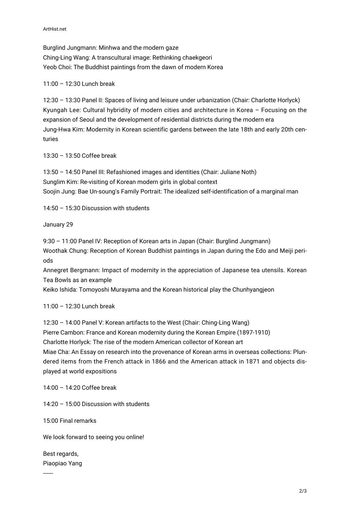Burglind Jungmann: Minhwa and the modern gaze Ching-Ling Wang: A transcultural image: Rethinking chaekgeori Yeob Choi: The Buddhist paintings from the dawn of modern Korea

## 11:00 – 12:30 Lunch break

12:30 – 13:30 Panel II: Spaces of living and leisure under urbanization (Chair: Charlotte Horlyck) Kyungah Lee: Cultural hybridity of modern cities and architecture in Korea – Focusing on the expansion of Seoul and the development of residential districts during the modern era Jung-Hwa Kim: Modernity in Korean scientific gardens between the late 18th and early 20th centuries

13:30 – 13:50 Coffee break

13:50 – 14:50 Panel III: Refashioned images and identities (Chair: Juliane Noth) Sunglim Kim: Re-visiting of Korean modern girls in global context Soojin Jung: Bae Un-soung's Family Portrait: The idealized self-identification of a marginal man

14:50 – 15:30 Discussion with students

January 29

9:30 – 11:00 Panel IV: Reception of Korean arts in Japan (Chair: Burglind Jungmann) Woothak Chung: Reception of Korean Buddhist paintings in Japan during the Edo and Meiji periods

Annegret Bergmann: Impact of modernity in the appreciation of Japanese tea utensils. Korean Tea Bowls as an example

Keiko Ishida: Tomoyoshi Murayama and the Korean historical play the Chunhyangjeon

11:00 – 12:30 Lunch break

12:30 – 14:00 Panel V: Korean artifacts to the West (Chair: Ching-Ling Wang) Pierre Cambon: France and Korean modernity during the Korean Empire (1897-1910) Charlotte Horlyck: The rise of the modern American collector of Korean art Miae Cha: An Essay on research into the provenance of Korean arms in overseas collections: Plundered items from the French attack in 1866 and the American attack in 1871 and objects displayed at world expositions

14:00 – 14:20 Coffee break

14:20 – 15:00 Discussion with students

15:00 Final remarks

We look forward to seeing you online!

Best regards, Piaopiao Yang

------